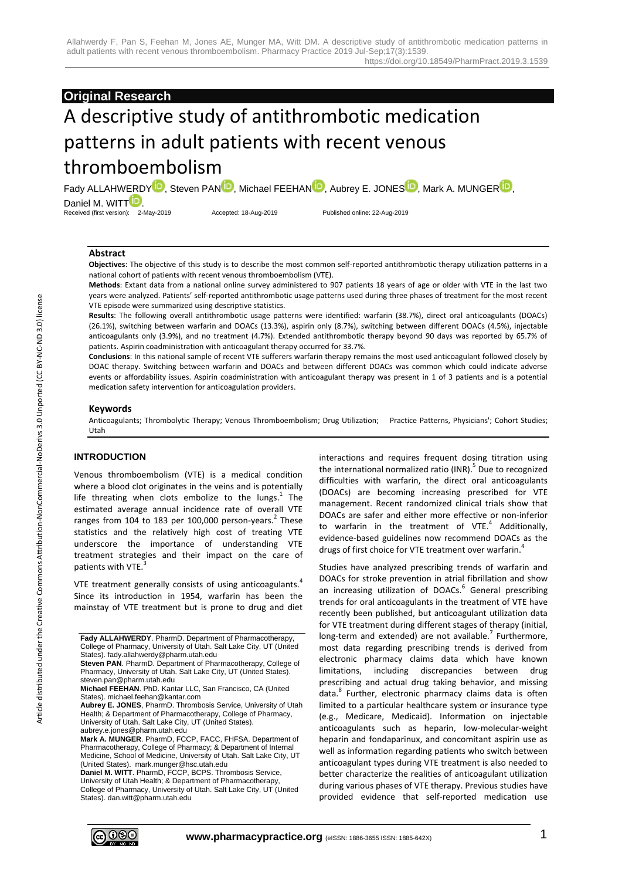# **Original Research**

# A descriptive study of antithrombotic medication patterns in adult patients with recent venous thromboembolism

Fady ALLAHWERD[Y](http://orcid.org/0000-0001-8158-2935)<sup>D</sup>, Steven PA[N](http://orcid.org/0000-0002-3921-1089)<sup>D</sup>[,](http://orcid.org/0000-0003-1726-702X) Michael FEEHAN<sup>D</sup>, Aubrey E. JONES<sup>D</sup>, Mark A. MUNGE[R](http://orcid.org/0000-0001-9543-1898)<sup>D</sup>, Daniel M. WI[T](http://orcid.org/0000-0002-3930-8358)T<sup>D</sup> Received (first version): 2-May-2019 Accepted: 18-Aug-2019 Published online: 22-Aug-2019

#### **Abstract**

**Objectives**: The objective of this study is to describe the most common self-reported antithrombotic therapy utilization patterns in a national cohort of patients with recent venous thromboembolism (VTE).

**Methods**: Extant data from a national online survey administered to 907 patients 18 years of age or older with VTE in the last two years were analyzed. Patients' self-reported antithrombotic usage patterns used during three phases of treatment for the most recent VTE episode were summarized using descriptive statistics.

**Results**: The following overall antithrombotic usage patterns were identified: warfarin (38.7%), direct oral anticoagulants (DOACs) (26.1%), switching between warfarin and DOACs (13.3%), aspirin only (8.7%), switching between different DOACs (4.5%), injectable anticoagulants only (3.9%), and no treatment (4.7%). Extended antithrombotic therapy beyond 90 days was reported by 65.7% of patients. Aspirin coadministration with anticoagulant therapy occurred for 33.7%.

**Conclusions**: In this national sample of recent VTE sufferers warfarin therapy remains the most used anticoagulant followed closely by DOAC therapy. Switching between warfarin and DOACs and between different DOACs was common which could indicate adverse events or affordability issues. Aspirin coadministration with anticoagulant therapy was present in 1 of 3 patients and is a potential medication safety intervention for anticoagulation providers.

#### **Keywords**

Anticoagulants; Thrombolytic Therapy; Venous Thromboembolism; Drug Utilization; Practice Patterns, Physicians'; Cohort Studies; Utah

# **INTRODUCTION**

Venous thromboembolism (VTE) is a medical condition where a blood clot originates in the veins and is potentially life threating when clots embolize to the lungs. $1$  The estimated average annual incidence rate of overall VTE ranges from 104 to 183 per 100,000 person-years.<sup>2</sup> These statistics and the relatively high cost of treating VTE underscore the importance of understanding VTE treatment strategies and their impact on the care of patients with VTE.<sup>3</sup>

VTE treatment generally consists of using anticoagulants.<sup>4</sup> Since its introduction in 1954, warfarin has been the mainstay of VTE treatment but is prone to drug and diet

**Fady ALLAHWERDY**. PharmD. Department of Pharmacotherapy, College of Pharmacy, University of Utah. Salt Lake City, UT (United States). fady.allahwerdy@pharm.utah.edu

**Daniel M. WITT**. PharmD, FCCP, BCPS. Thrombosis Service, University of Utah Health; & Department of Pharmacotherapy, College of Pharmacy, University of Utah. Salt Lake City, UT (United States). dan.witt@pharm.utah.edu

interactions and requires frequent dosing titration using the international normalized ratio (INR).<sup>5</sup> Due to recognized difficulties with warfarin, the direct oral anticoagulants (DOACs) are becoming increasing prescribed for VTE management. Recent randomized clinical trials show that DOACs are safer and either more effective or non-inferior to warfarin in the treatment of VTE. $4$  Additionally, evidence-based guidelines now recommend DOACs as the drugs of first choice for VTE treatment over warfarin.<sup>4</sup>

Studies have analyzed prescribing trends of warfarin and DOACs for stroke prevention in atrial fibrillation and show an increasing utilization of DOACs.<sup>6</sup> General prescribing trends for oral anticoagulants in the treatment of VTE have recently been published, but anticoagulant utilization data for VTE treatment during different stages of therapy (initial, long-term and extended) are not available.<sup>7</sup> Furthermore, most data regarding prescribing trends is derived from electronic pharmacy claims data which have known limitations, including discrepancies between drug prescribing and actual drug taking behavior, and missing data.<sup>8</sup> Further, electronic pharmacy claims data is often limited to a particular healthcare system or insurance type (e.g., Medicare, Medicaid). Information on injectable anticoagulants such as heparin, low-molecular-weight heparin and fondaparinux, and concomitant aspirin use as well as information regarding patients who switch between anticoagulant types during VTE treatment is also needed to better characterize the realities of anticoagulant utilization during various phases of VTE therapy. Previous studies have provided evidence that self-reported medication use



**Steven PAN**. PharmD. Department of Pharmacotherapy, College of Pharmacy, University of Utah. Salt Lake City, UT (United States). steven.pan@pharm.utah.edu

**Michael FEEHAN**. PhD. Kantar LLC, San Francisco, CA (United States). michael.feehan@kantar.com

**Aubrey E. JONES**, PharmD. Thrombosis Service, University of Utah Health; & Department of Pharmacotherapy, College of Pharmacy, University of Utah. Salt Lake City, UT (United States). aubrey.e.jones@pharm.utah.edu

**Mark A. MUNGER**. PharmD, FCCP, FACC, FHFSA. Department of Pharmacotherapy, College of Pharmacy; & Department of Internal Medicine, School of Medicine, University of Utah. Salt Lake City, UT (United States). mark.munger@hsc.utah.edu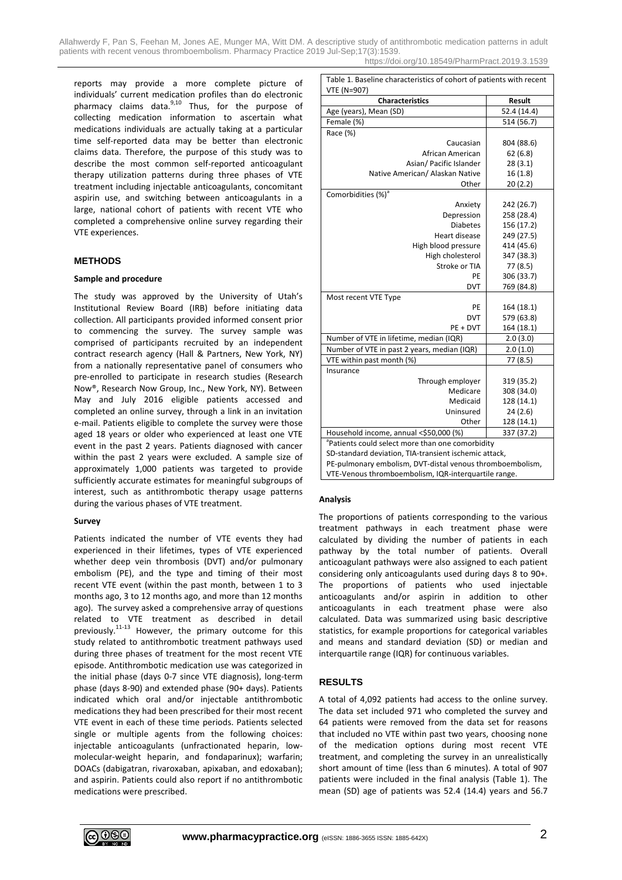Allahwerdy F, Pan S, Feehan M, Jones AE, Munger MA, Witt DM. A descriptive study of antithrombotic medication patterns in adult patients with recent venous thromboembolism. Pharmacy Practice 2019 Jul-Sep;17(3):1539. https://doi.org/10.18549/PharmPract.2019.3.1539

reports may provide a more complete picture of individuals' current medication profiles than do electronic pharmacy claims data.<sup>9,10</sup> Thus, for the purpose of collecting medication information to ascertain what medications individuals are actually taking at a particular time self-reported data may be better than electronic claims data. Therefore, the purpose of this study was to describe the most common self-reported anticoagulant therapy utilization patterns during three phases of VTE treatment including injectable anticoagulants, concomitant aspirin use, and switching between anticoagulants in a large, national cohort of patients with recent VTE who completed a comprehensive online survey regarding their VTE experiences.

#### **METHODS**

#### **Sample and procedure**

The study was approved by the University of Utah's Institutional Review Board (IRB) before initiating data collection. All participants provided informed consent prior to commencing the survey. The survey sample was comprised of participants recruited by an independent contract research agency (Hall & Partners, New York, NY) from a nationally representative panel of consumers who pre-enrolled to participate in research studies (Research Now®, Research Now Group, Inc., New York, NY). Between May and July 2016 eligible patients accessed and completed an online survey, through a link in an invitation e-mail. Patients eligible to complete the survey were those aged 18 years or older who experienced at least one VTE event in the past 2 years. Patients diagnosed with cancer within the past 2 years were excluded. A sample size of approximately 1,000 patients was targeted to provide sufficiently accurate estimates for meaningful subgroups of interest, such as antithrombotic therapy usage patterns during the various phases of VTE treatment.

#### **Survey**

Patients indicated the number of VTE events they had experienced in their lifetimes, types of VTE experienced whether deep vein thrombosis (DVT) and/or pulmonary embolism (PE), and the type and timing of their most recent VTE event (within the past month, between 1 to 3 months ago, 3 to 12 months ago, and more than 12 months ago). The survey asked a comprehensive array of questions related to VTE treatment as described in detail previously.11-13 However, the primary outcome for this study related to antithrombotic treatment pathways used during three phases of treatment for the most recent VTE episode. Antithrombotic medication use was categorized in the initial phase (days 0-7 since VTE diagnosis), long-term phase (days 8-90) and extended phase (90+ days). Patients indicated which oral and/or injectable antithrombotic medications they had been prescribed for their most recent VTE event in each of these time periods. Patients selected single or multiple agents from the following choices: injectable anticoagulants (unfractionated heparin, lowmolecular-weight heparin, and fondaparinux); warfarin; DOACs (dabigatran, rivaroxaban, apixaban, and edoxaban); and aspirin. Patients could also report if no antithrombotic medications were prescribed.

Table 1. Baseline characteristics of cohort of patients with recent VTE (N=907)

| VIE (IN=907)<br><b>Characteristics</b><br><b>Result</b>      |             |  |  |  |
|--------------------------------------------------------------|-------------|--|--|--|
| Age (years), Mean (SD)                                       | 52.4 (14.4) |  |  |  |
| Female (%)                                                   | 514 (56.7)  |  |  |  |
| Race (%)                                                     |             |  |  |  |
| Caucasian                                                    | 804 (88.6)  |  |  |  |
| African American                                             | 62(6.8)     |  |  |  |
| Asian/ Pacific Islander                                      | 28(3.1)     |  |  |  |
| Native American/ Alaskan Native                              | 16(1.8)     |  |  |  |
| Other                                                        | 20(2.2)     |  |  |  |
| Comorbidities (%) <sup>a</sup>                               |             |  |  |  |
| Anxiety                                                      | 242 (26.7)  |  |  |  |
| Depression                                                   | 258 (28.4)  |  |  |  |
| <b>Diabetes</b>                                              | 156 (17.2)  |  |  |  |
| <b>Heart disease</b>                                         | 249 (27.5)  |  |  |  |
| High blood pressure                                          | 414 (45.6)  |  |  |  |
| High cholesterol                                             | 347 (38.3)  |  |  |  |
| Stroke or TIA                                                | 77 (8.5)    |  |  |  |
| PF                                                           | 306 (33.7)  |  |  |  |
| <b>DVT</b>                                                   | 769 (84.8)  |  |  |  |
| Most recent VTE Type                                         |             |  |  |  |
| PE                                                           | 164 (18.1)  |  |  |  |
| <b>DVT</b>                                                   | 579 (63.8)  |  |  |  |
| PE + DVT                                                     | 164 (18.1)  |  |  |  |
| Number of VTE in lifetime, median (IQR)                      | 2.0(3.0)    |  |  |  |
| Number of VTE in past 2 years, median (IQR)                  | 2.0(1.0)    |  |  |  |
| VTE within past month (%)                                    | 77 (8.5)    |  |  |  |
| Insurance                                                    |             |  |  |  |
| Through employer                                             | 319 (35.2)  |  |  |  |
| Medicare                                                     | 308 (34.0)  |  |  |  |
| Medicaid                                                     | 128 (14.1)  |  |  |  |
| Uninsured                                                    | 24(2.6)     |  |  |  |
| Other                                                        | 128 (14.1)  |  |  |  |
| Household income, annual <\$50,000 (%)<br>337 (37.2)         |             |  |  |  |
| <sup>a</sup> Patients could select more than one comorbidity |             |  |  |  |
| SD-standard deviation, TIA-transient ischemic attack,        |             |  |  |  |
| PE-pulmonary embolism, DVT-distal venous thromboembolism,    |             |  |  |  |
| VTE-Venous thromboembolism, IQR-interquartile range.         |             |  |  |  |

## **Analysis**

The proportions of patients corresponding to the various treatment pathways in each treatment phase were calculated by dividing the number of patients in each pathway by the total number of patients. Overall anticoagulant pathways were also assigned to each patient considering only anticoagulants used during days 8 to 90+. The proportions of patients who used injectable anticoagulants and/or aspirin in addition to other anticoagulants in each treatment phase were also calculated. Data was summarized using basic descriptive statistics, for example proportions for categorical variables and means and standard deviation (SD) or median and interquartile range (IQR) for continuous variables.

#### **RESULTS**

A total of 4,092 patients had access to the online survey. The data set included 971 who completed the survey and 64 patients were removed from the data set for reasons that included no VTE within past two years, choosing none of the medication options during most recent VTE treatment, and completing the survey in an unrealistically short amount of time (less than 6 minutes). A total of 907 patients were included in the final analysis (Table 1). The mean (SD) age of patients was 52.4 (14.4) years and 56.7

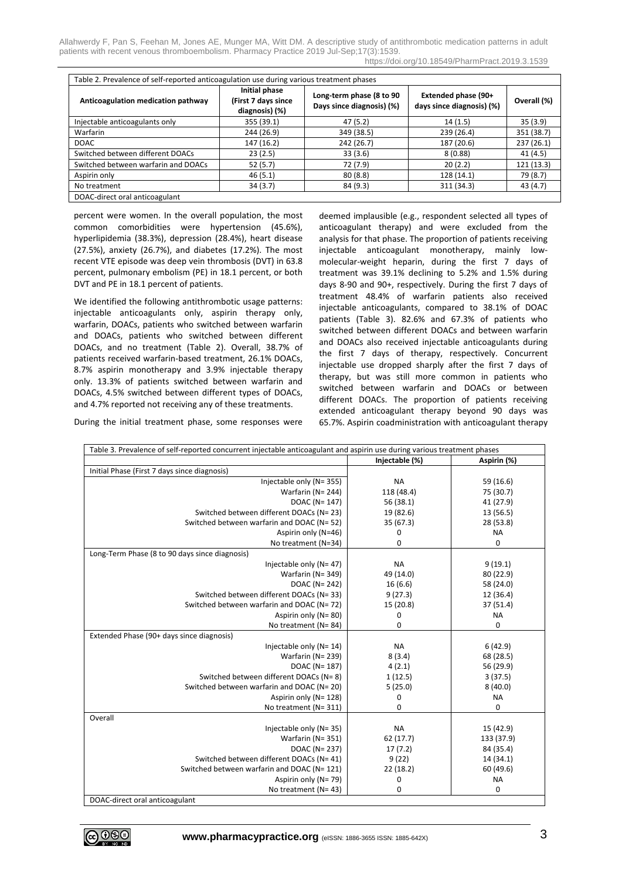Allahwerdy F, Pan S, Feehan M, Jones AE, Munger MA, Witt DM. A descriptive study of antithrombotic medication patterns in adult patients with recent venous thromboembolism. Pharmacy Practice 2019 Jul-Sep;17(3):1539.

|  | https://doi.org/10.18549/PharmPract.2019.3.1539 |  |
|--|-------------------------------------------------|--|
|--|-------------------------------------------------|--|

| Table 2. Prevalence of self-reported anticoagulation use during various treatment phases |                                                        |                                                       |                                                  |             |  |  |  |
|------------------------------------------------------------------------------------------|--------------------------------------------------------|-------------------------------------------------------|--------------------------------------------------|-------------|--|--|--|
| Anticoagulation medication pathway                                                       | Initial phase<br>(First 7 days since<br>diagnosis) (%) | Long-term phase (8 to 90<br>Days since diagnosis) (%) | Extended phase (90+<br>days since diagnosis) (%) | Overall (%) |  |  |  |
| Injectable anticoagulants only                                                           | 355 (39.1)                                             | 47 (5.2)                                              | 14(1.5)                                          | 35(3.9)     |  |  |  |
| Warfarin                                                                                 | 244 (26.9)                                             | 349 (38.5)                                            | 239 (26.4)                                       | 351 (38.7)  |  |  |  |
| <b>DOAC</b>                                                                              | 147 (16.2)                                             | 242 (26.7)                                            | 187 (20.6)                                       | 237 (26.1)  |  |  |  |
| Switched between different DOACs                                                         | 23(2.5)                                                | 33(3.6)                                               | 8(0.88)                                          | 41(4.5)     |  |  |  |
| Switched between warfarin and DOACs                                                      | 52(5.7)                                                | 72 (7.9)                                              | 20(2.2)                                          | 121 (13.3)  |  |  |  |
| Aspirin only                                                                             | 46(5.1)                                                | 80(8.8)                                               | 128 (14.1)                                       | 79 (8.7)    |  |  |  |
| No treatment                                                                             | 34(3.7)                                                | 84 (9.3)                                              | 311 (34.3)                                       | 43 (4.7)    |  |  |  |
| DOAC-direct oral anticoagulant                                                           |                                                        |                                                       |                                                  |             |  |  |  |

percent were women. In the overall population, the most common comorbidities were hypertension (45.6%), hyperlipidemia (38.3%), depression (28.4%), heart disease (27.5%), anxiety (26.7%), and diabetes (17.2%). The most recent VTE episode was deep vein thrombosis (DVT) in 63.8 percent, pulmonary embolism (PE) in 18.1 percent, or both DVT and PE in 18.1 percent of patients.

We identified the following antithrombotic usage patterns: injectable anticoagulants only, aspirin therapy only, warfarin, DOACs, patients who switched between warfarin and DOACs, patients who switched between different DOACs, and no treatment (Table 2). Overall, 38.7% of patients received warfarin-based treatment, 26.1% DOACs, 8.7% aspirin monotherapy and 3.9% injectable therapy only. 13.3% of patients switched between warfarin and DOACs, 4.5% switched between different types of DOACs, and 4.7% reported not receiving any of these treatments.

During the initial treatment phase, some responses were

deemed implausible (e.g., respondent selected all types of anticoagulant therapy) and were excluded from the analysis for that phase. The proportion of patients receiving injectable anticoagulant monotherapy, mainly lowmolecular-weight heparin, during the first 7 days of treatment was 39.1% declining to 5.2% and 1.5% during days 8-90 and 90+, respectively. During the first 7 days of treatment 48.4% of warfarin patients also received injectable anticoagulants, compared to 38.1% of DOAC patients (Table 3). 82.6% and 67.3% of patients who switched between different DOACs and between warfarin and DOACs also received injectable anticoagulants during the first 7 days of therapy, respectively. Concurrent injectable use dropped sharply after the first 7 days of therapy, but was still more common in patients who switched between warfarin and DOACs or between different DOACs. The proportion of patients receiving extended anticoagulant therapy beyond 90 days was 65.7%. Aspirin coadministration with anticoagulant therapy

Table 3. Prevalence of self-reported concurrent injectable anticoagulant and aspirin use during various treatment phases **Injectable (%) Aspirin (%)** Initial Phase (First 7 days since diagnosis)  $\text{I}$ niectable only (N= 355) NA 59 (16.6) Warfarin (N= 244) 118 (48.4) 75 (30.7)<br>DOAC (N= 147) 56 (38.1) 41 (27.9) DOAC ( $N = 147$ ) Switched between different DOACs (N= 23)  $\vert$  19 (82.6) 13 (56.5) 13 (56.5) 13 (56.5) Switched between warfarin and DOAC (N= 52) Aspirin only (N=46) 0 0 NA<br>
o treatment (N=34) 0 0 0 0 No treatment (N=34) Long-Term Phase (8 to 90 days since diagnosis) Injectable only  $(N= 47)$  NA 9 (19.1) Warfarin (N= 349) 49 (14.0) 80 (22.9) DOAC (N= 242) 16 (6.6) 58 (24.0) Switched between different DOACs (N= 33) 9 (27.3) 12 (36.4)<br>
9 (27.3) 12 (36.4) 15 (20.8) 37 (51.4) Switched between warfarin and DOAC (N= 72) Aspirin only (N= 80)  $\begin{array}{c|c} 0 & 0 & 0 \\ 0 & 0 & 0 \end{array}$  NA No treatment  $(N= 84)$ Extended Phase (90+ days since diagnosis) Injectable only  $(N= 14)$  NA 6 (42.9) Warfarin (N= 239) 8 (3.4) 68 (28.5) DOAC (N= 187) 4 (2.1) 56 (29.9) Switched between different DOACs (N= 8)  $\vert$  1 (12.5)  $\vert$  3 (37.5) Switched between warfarin and DOAC (N= 20)  $\vert$  5 (25.0) 8 (40.0) Aspirin only (N= 128) 0 0 NA No treatment  $(N=311)$  0 0 0 **Overall** Injectable only  $(N= 35)$  NA 15 (42.9) Warfarin (N= 351) 62 (17.7) 133 (37.9) DOAC (N= 237) 17 (7.2) 84 (35.4) Switched between different DOACs (N= 41)  $\vert$  9 (22) 14 (34.1) Switched between warfarin and DOAC (N= 121)  $\vert$  22 (18.2)  $\vert$  60 (49.6) Aspirin only (N= 79) 0 0 NA No treatment (N= 43)  $\begin{vmatrix} 0 & 0 & 0 \\ 0 & 0 & 0 \\ 0 & 0 & 0 \\ 0 & 0 & 0 \\ 0 & 0 & 0 \\ 0 & 0 & 0 \\ 0 & 0 & 0 \\ 0 & 0 & 0 \\ 0 & 0 & 0 \\ 0 & 0 & 0 \\ 0 & 0 & 0 \\ 0 & 0 & 0 \\ 0 & 0 & 0 \\ 0 & 0 & 0 \\ 0 & 0 & 0 & 0 \\ 0 & 0 & 0 & 0 \\ 0 & 0 & 0 & 0 \\ 0 & 0 & 0 & 0 \\ 0 & 0 & 0 & 0 \\ 0 & 0 &$ DOAC-direct oral anticoagulant

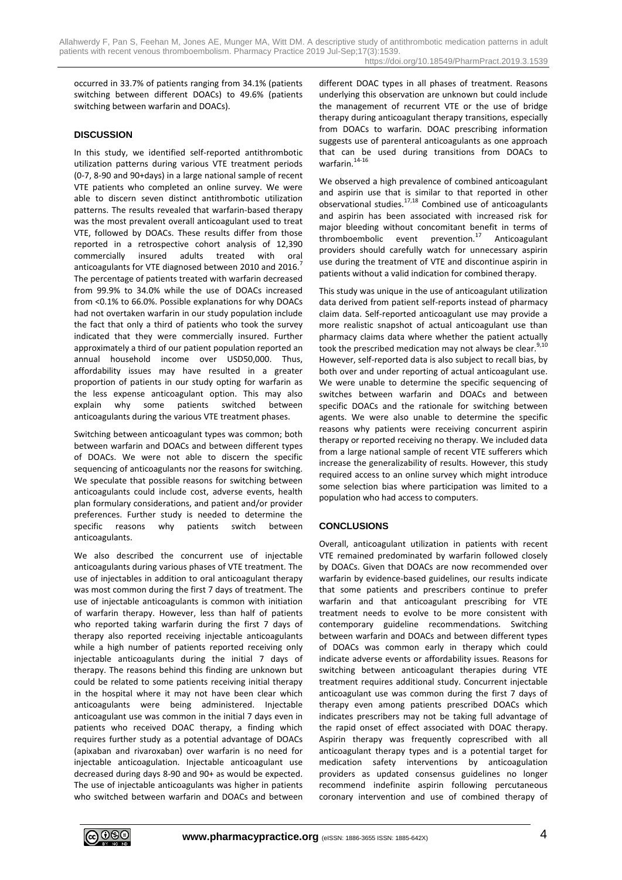occurred in 33.7% of patients ranging from 34.1% (patients switching between different DOACs) to 49.6% (patients switching between warfarin and DOACs).

# **DISCUSSION**

In this study, we identified self-reported antithrombotic utilization patterns during various VTE treatment periods (0-7, 8-90 and 90+days) in a large national sample of recent VTE patients who completed an online survey. We were able to discern seven distinct antithrombotic utilization patterns. The results revealed that warfarin-based therapy was the most prevalent overall anticoagulant used to treat VTE, followed by DOACs. These results differ from those reported in a retrospective cohort analysis of 12,390 commercially insured adults treated with oral anticoagulants for VTE diagnosed between 2010 and 2016.<sup>7</sup> The percentage of patients treated with warfarin decreased from 99.9% to 34.0% while the use of DOACs increased from <0.1% to 66.0%. Possible explanations for why DOACs had not overtaken warfarin in our study population include the fact that only a third of patients who took the survey indicated that they were commercially insured. Further approximately a third of our patient population reported an annual household income over USD50,000. Thus, affordability issues may have resulted in a greater proportion of patients in our study opting for warfarin as the less expense anticoagulant option. This may also explain why some patients switched between anticoagulants during the various VTE treatment phases.

Switching between anticoagulant types was common; both between warfarin and DOACs and between different types of DOACs. We were not able to discern the specific sequencing of anticoagulants nor the reasons for switching. We speculate that possible reasons for switching between anticoagulants could include cost, adverse events, health plan formulary considerations, and patient and/or provider preferences. Further study is needed to determine the specific reasons why patients switch between anticoagulants.

We also described the concurrent use of injectable anticoagulants during various phases of VTE treatment. The use of injectables in addition to oral anticoagulant therapy was most common during the first 7 days of treatment. The use of injectable anticoagulants is common with initiation of warfarin therapy. However, less than half of patients who reported taking warfarin during the first 7 days of therapy also reported receiving injectable anticoagulants while a high number of patients reported receiving only injectable anticoagulants during the initial 7 days of therapy. The reasons behind this finding are unknown but could be related to some patients receiving initial therapy in the hospital where it may not have been clear which anticoagulants were being administered. Injectable anticoagulant use was common in the initial 7 days even in patients who received DOAC therapy, a finding which requires further study as a potential advantage of DOACs (apixaban and rivaroxaban) over warfarin is no need for injectable anticoagulation. Injectable anticoagulant use decreased during days 8-90 and 90+ as would be expected. The use of injectable anticoagulants was higher in patients who switched between warfarin and DOACs and between different DOAC types in all phases of treatment. Reasons underlying this observation are unknown but could include the management of recurrent VTE or the use of bridge therapy during anticoagulant therapy transitions, especially from DOACs to warfarin. DOAC prescribing information suggests use of parenteral anticoagulants as one approach that can be used during transitions from DOACs to warfarin. $14-16$ 

We observed a high prevalence of combined anticoagulant and aspirin use that is similar to that reported in other observational studies. $17,18$  Combined use of anticoagulants and aspirin has been associated with increased risk for major bleeding without concomitant benefit in terms of thromboembolic event prevention. $17$  Anticoagulant providers should carefully watch for unnecessary aspirin use during the treatment of VTE and discontinue aspirin in patients without a valid indication for combined therapy.

This study was unique in the use of anticoagulant utilization data derived from patient self-reports instead of pharmacy claim data. Self-reported anticoagulant use may provide a more realistic snapshot of actual anticoagulant use than pharmacy claims data where whether the patient actually took the prescribed medication may not always be clear.<sup>9,10</sup> However, self-reported data is also subject to recall bias, by both over and under reporting of actual anticoagulant use. We were unable to determine the specific sequencing of switches between warfarin and DOACs and between specific DOACs and the rationale for switching between agents. We were also unable to determine the specific reasons why patients were receiving concurrent aspirin therapy or reported receiving no therapy. We included data from a large national sample of recent VTE sufferers which increase the generalizability of results. However, this study required access to an online survey which might introduce some selection bias where participation was limited to a population who had access to computers.

# **CONCLUSIONS**

Overall, anticoagulant utilization in patients with recent VTE remained predominated by warfarin followed closely by DOACs. Given that DOACs are now recommended over warfarin by evidence-based guidelines, our results indicate that some patients and prescribers continue to prefer warfarin and that anticoagulant prescribing for VTE treatment needs to evolve to be more consistent with contemporary guideline recommendations. Switching between warfarin and DOACs and between different types of DOACs was common early in therapy which could indicate adverse events or affordability issues. Reasons for switching between anticoagulant therapies during VTE treatment requires additional study. Concurrent injectable anticoagulant use was common during the first 7 days of therapy even among patients prescribed DOACs which indicates prescribers may not be taking full advantage of the rapid onset of effect associated with DOAC therapy. Aspirin therapy was frequently coprescribed with all anticoagulant therapy types and is a potential target for medication safety interventions by anticoagulation providers as updated consensus guidelines no longer recommend indefinite aspirin following percutaneous coronary intervention and use of combined therapy of